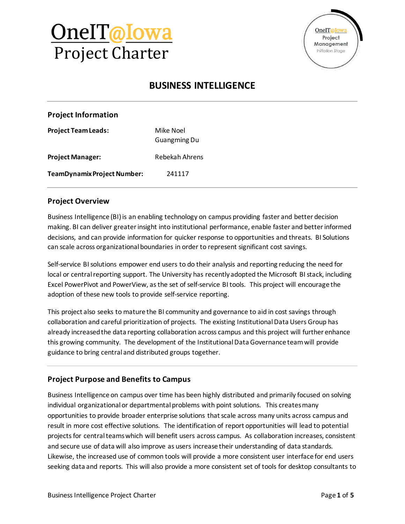# OneIT@Iowa Project Charter



### **BUSINESS INTELLIGENCE**

**Project Team Leads:** Mike Noel Guangming Du

**Project Manager:** Rebekah Ahrens

**TeamDynamix Project Number:** 241117

### **Project Overview**

Business Intelligence (BI) is an enabling technology on campus providing faster and better decision making. BI can deliver greater insight into institutional performance, enable faster and better informed decisions, and can provide information for quicker response to opportunities and threats. BI Solutions can scale across organizational boundaries in order to represent significant cost savings.

Self-service BI solutions empower end users to do their analysis and reporting reducing the need for local or central reporting support. The University has recently adopted the Microsoft BI stack, including Excel PowerPivot and PowerView, as the set of self-service BI tools. This project will encourage the adoption of these new tools to provide self-service reporting.

This project also seeks to mature the BI community and governance to aid in cost savings through collaboration and careful prioritization of projects. The existing Institutional Data Users Group has already increased the data reporting collaboration across campus and this project will further enhance this growing community. The development of the Institutional Data Governance team will provide guidance to bring central and distributed groups together.

### **Project Purpose and Benefits to Campus**

Business Intelligence on campus over time has been highly distributed and primarily focused on solving individual organizational or departmental problems with point solutions. This creates many opportunities to provide broader enterprise solutions that scale across many units across campus and result in more cost effective solutions. The identification of report opportunities will lead to potential projects for central teams which will benefit users across campus. As collaboration increases, consistent and secure use of data will also improve as users increase their understanding of data standards. Likewise, the increased use of common tools will provide a more consistent user interface for end users seeking data and reports. This will also provide a more consistent set of tools for desktop consultants to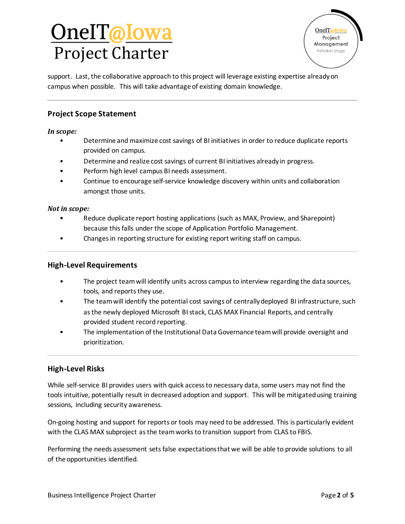# <u>OnelT@Iowa</u> Project Charter

support. Last, the collaborative approach to this project will leverage existing expertise already on campus when possible. This will take advantage of existing domain knowledge.

### **Project Scope Statement**

#### *In scope:*

- Determine and maximize cost savings of BI initiatives in order to reduce duplicate reports provided on campus.
- Determine and realize cost savings of current BI initiatives already in progress.
- Perform high level campus BI needs assessment.
- Continue to encourage self-service knowledge discovery within units and collaboration amongst those units.

#### *Not in scope:*

- Reduce duplicate report hosting applications (such as MAX, Proview, and Sharepoint) because this falls under the scope of Application Portfolio Management.
- Changes in reporting structure for existing report writing staff on campus.

#### **High-Level Requirements**

- The project team will identify units across campus to interview regarding the data sources, tools, and reports they use.
- The team will identify the potential cost savings of centrally deployed BI infrastructure, such as the newly deployed Microsoft BI stack, CLAS MAX Financial Reports, and centrally provided student record reporting.
- The implementation of the Institutional Data Governance team will provide oversight and prioritization.

#### **High-Level Risks**

While self-service BI provides users with quick access to necessary data, some users may not find the tools intuitive, potentially result in decreased adoption and support. This will be mitigated using training sessions, including security awareness.

On-going hosting and support for reports or tools may need to be addressed. This is particularly evident with the CLAS MAX subproject as the team works to transition support from CLAS to FBIS.

Performing the needs assessment sets false expectations that we will be able to provide solutions to all of the opportunities identified.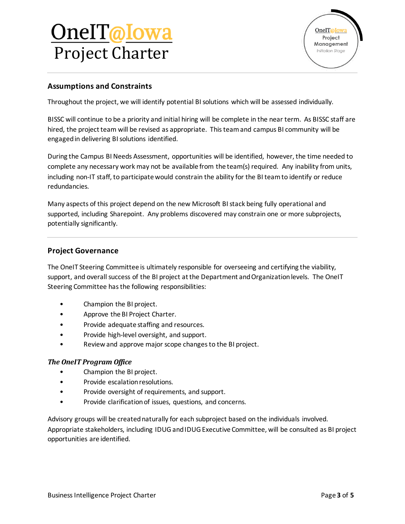# <u>OnelT@Iowa</u> Project Charter



### **Assumptions and Constraints**

Throughout the project, we will identify potential BI solutions which will be assessed individually.

BISSC will continue to be a priority and initial hiring will be complete in the near term. As BISSC staff are hired, the project team will be revised as appropriate. This team and campus BI community will be engaged in delivering BI solutions identified.

During the Campus BI Needs Assessment, opportunities will be identified, however, the time needed to complete any necessary work may not be available from the team(s) required. Any inability from units, including non-IT staff, to participate would constrain the ability for the BI team to identify or reduce redundancies.

Many aspects of this project depend on the new Microsoft BI stack being fully operational and supported, including Sharepoint. Any problems discovered may constrain one or more subprojects, potentially significantly.

#### **Project Governance**

The OneIT Steering Committee is ultimately responsible for overseeing and certifying the viability, support, and overall success of the BI project at the Department and Organization levels. The OneIT Steering Committee has the following responsibilities:

- Champion the BI project.
- Approve the BI Project Charter.
- Provide adequate staffing and resources.
- Provide high-level oversight, and support.
- Review and approve major scope changes to the BI project.

#### *The OneIT Program Office*

- Champion the BI project.
- Provide escalation resolutions.
- Provide oversight of requirements, and support.
- Provide clarification of issues, questions, and concerns.

Advisory groups will be created naturally for each subproject based on the individuals involved. Appropriate stakeholders, including IDUG and IDUG Executive Committee, will be consulted as BI project opportunities are identified.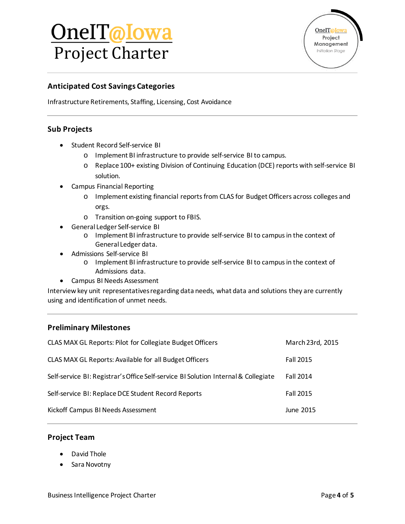# <u>OnelT@Iowa</u> Project Charter



### **Anticipated Cost Savings Categories**

Infrastructure Retirements, Staffing, Licensing, Cost Avoidance

#### **Sub Projects**

- Student Record Self-service BI
	- o Implement BI infrastructure to provide self-service BI to campus.
	- o Replace 100+ existing Division of Continuing Education (DCE) reports with self-service BI solution.
- Campus Financial Reporting
	- o Implement existing financial reports from CLAS for Budget Officers across colleges and orgs.
	- o Transition on-going support to FBIS.
- General Ledger Self-service BI
	- o Implement BI infrastructure to provide self-service BI to campus in the context of General Ledger data.
- Admissions Self-service BI
	- o Implement BI infrastructure to provide self-service BI to campus in the context of Admissions data.
- Campus BI Needs Assessment

Interview key unit representatives regarding data needs, what data and solutions they are currently using and identification of unmet needs.

#### **Preliminary Milestones**

| CLAS MAX GL Reports: Pilot for Collegiate Budget Officers                          | March 23rd, 2015 |
|------------------------------------------------------------------------------------|------------------|
| CLAS MAX GL Reports: Available for all Budget Officers                             | Fall 2015        |
| Self-service BI: Registrar's Office Self-service BI Solution Internal & Collegiate | <b>Fall 2014</b> |
| Self-service BI: Replace DCE Student Record Reports                                | <b>Fall 2015</b> |
| Kickoff Campus BI Needs Assessment                                                 | June 2015        |

#### **Project Team**

- David Thole
- Sara Novotny